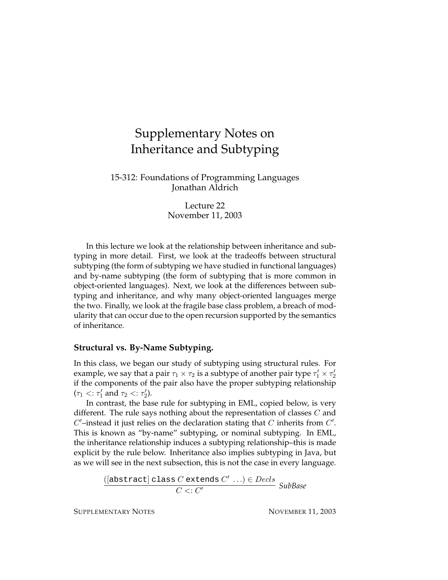# Supplementary Notes on Inheritance and Subtyping

# 15-312: Foundations of Programming Languages Jonathan Aldrich

Lecture 22 November 11, 2003

In this lecture we look at the relationship between inheritance and subtyping in more detail. First, we look at the tradeoffs between structural subtyping (the form of subtyping we have studied in functional languages) and by-name subtyping (the form of subtyping that is more common in object-oriented languages). Next, we look at the differences between subtyping and inheritance, and why many object-oriented languages merge the two. Finally, we look at the fragile base class problem, a breach of modularity that can occur due to the open recursion supported by the semantics of inheritance.

## **Structural vs. By-Name Subtyping.**

In this class, we began our study of subtyping using structural rules. For example, we say that a pair  $\tau_1 \times \tau_2$  is a subtype of another pair type  $\tau_1' \times \tau_2'$ if the components of the pair also have the proper subtyping relationship  $(\tau_1 < \tau'_1 \text{ and } \tau_2 < \tau'_2).$ 

In contrast, the base rule for subtyping in EML, copied below, is very different. The rule says nothing about the representation of classes  $C$  and  $C'$ -instead it just relies on the declaration stating that  $C$  inherits from  $C'$ . This is known as "by-name" subtyping, or nominal subtyping. In EML, the inheritance relationship induces a subtyping relationship–this is made explicit by the rule below. Inheritance also implies subtyping in Java, but as we will see in the next subsection, this is not the case in every language.

> ([abstract] class  $C$  extends  $C' \ldots$ )  $\in$   $Decls$ C <: C <sup>0</sup> *SubBase*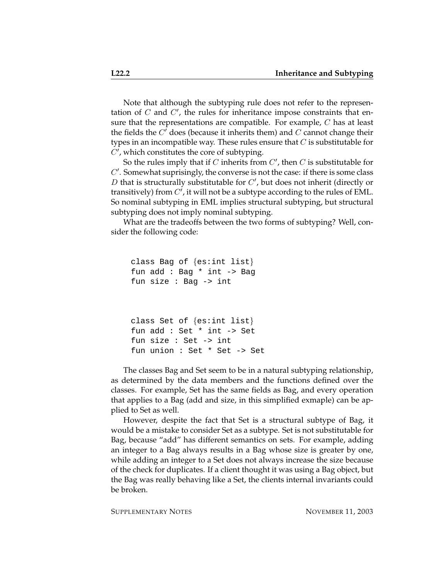Note that although the subtyping rule does not refer to the representation of  $C$  and  $C'$ , the rules for inheritance impose constraints that ensure that the representations are compatible. For example, C has at least the fields the  $C<sup>'</sup>$  does (because it inherits them) and  $C$  cannot change their types in an incompatible way. These rules ensure that  $C$  is substitutable for  $C'$ , which constitutes the core of subtyping.

So the rules imply that if C inherits from  $C'$ , then C is substitutable for  $C'$ . Somewhat suprisingly, the converse is not the case: if there is some class  $D$  that is structurally substitutable for  $C'$ , but does not inherit (directly or transitively) from  $C'$ , it will not be a subtype according to the rules of EML. So nominal subtyping in EML implies structural subtyping, but structural subtyping does not imply nominal subtyping.

What are the tradeoffs between the two forms of subtyping? Well, consider the following code:

```
class Bag of {es:int list}
fun add : Bag * int -> Bag
fun size : Bag -> int
class Set of {es:int list}
fun add : Set * int -> Set
fun size : Set -> int
fun union : Set * Set -> Set
```
The classes Bag and Set seem to be in a natural subtyping relationship, as determined by the data members and the functions defined over the classes. For example, Set has the same fields as Bag, and every operation that applies to a Bag (add and size, in this simplified exmaple) can be applied to Set as well.

However, despite the fact that Set is a structural subtype of Bag, it would be a mistake to consider Set as a subtype. Set is not substitutable for Bag, because "add" has different semantics on sets. For example, adding an integer to a Bag always results in a Bag whose size is greater by one, while adding an integer to a Set does not always increase the size because of the check for duplicates. If a client thought it was using a Bag object, but the Bag was really behaving like a Set, the clients internal invariants could be broken.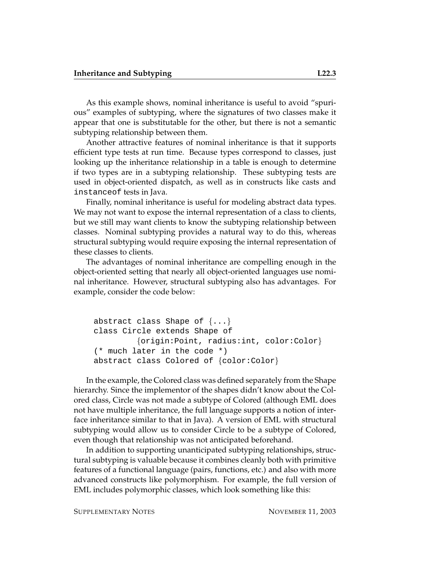As this example shows, nominal inheritance is useful to avoid "spurious" examples of subtyping, where the signatures of two classes make it appear that one is substitutable for the other, but there is not a semantic subtyping relationship between them.

Another attractive features of nominal inheritance is that it supports efficient type tests at run time. Because types correspond to classes, just looking up the inheritance relationship in a table is enough to determine if two types are in a subtyping relationship. These subtyping tests are used in object-oriented dispatch, as well as in constructs like casts and instanceof tests in Java.

Finally, nominal inheritance is useful for modeling abstract data types. We may not want to expose the internal representation of a class to clients, but we still may want clients to know the subtyping relationship between classes. Nominal subtyping provides a natural way to do this, whereas structural subtyping would require exposing the internal representation of these classes to clients.

The advantages of nominal inheritance are compelling enough in the object-oriented setting that nearly all object-oriented languages use nominal inheritance. However, structural subtyping also has advantages. For example, consider the code below:

```
abstract class Shape of \{ \ldots \}class Circle extends Shape of
         {origin:Point, radius:int, color:Color}
(* much later in the code *)
abstract class Colored of {color:Color}
```
In the example, the Colored class was defined separately from the Shape hierarchy. Since the implementor of the shapes didn't know about the Colored class, Circle was not made a subtype of Colored (although EML does not have multiple inheritance, the full language supports a notion of interface inheritance similar to that in Java). A version of EML with structural subtyping would allow us to consider Circle to be a subtype of Colored, even though that relationship was not anticipated beforehand.

In addition to supporting unanticipated subtyping relationships, structural subtyping is valuable because it combines cleanly both with primitive features of a functional language (pairs, functions, etc.) and also with more advanced constructs like polymorphism. For example, the full version of EML includes polymorphic classes, which look something like this: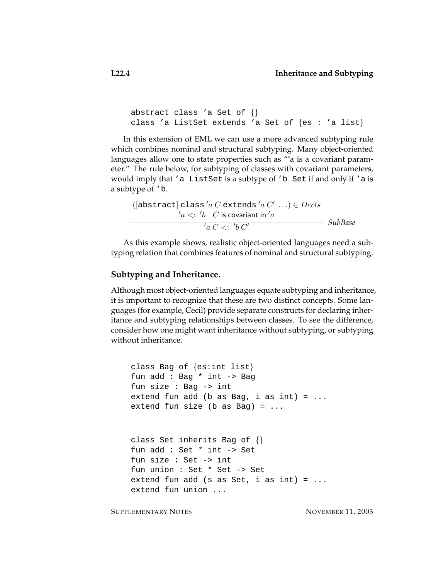```
abstract class 'a Set of {}
class 'a ListSet extends 'a Set of \{es : 'a list\}
```
In this extension of EML we can use a more advanced subtyping rule which combines nominal and structural subtyping. Many object-oriented languages allow one to state properties such as "'a is a covariant parameter." The rule below, for subtyping of classes with covariant parameters, would imply that 'a ListSet is a subtype of 'b Set if and only if 'a is a subtype of 'b.

([abstract] class 'a C extends 'a C' ... ) 
$$
\in
$$
 Decls  
\n' $a <: 'b$  C is covariant in 'a  
\n'a C  $\leq$  'b C'

As this example shows, realistic object-oriented languages need a subtyping relation that combines features of nominal and structural subtyping.

#### **Subtyping and Inheritance.**

Although most object-oriented languages equate subtyping and inheritance, it is important to recognize that these are two distinct concepts. Some languages (for example, Cecil) provide separate constructs for declaring inheritance and subtyping relationships between classes. To see the difference, consider how one might want inheritance without subtyping, or subtyping without inheritance.

```
class Bag of {es:int list}
fun add : Bag * int -> Bag
fun size : Bag -> int
extend fun add (b as Bag, i as int) = ...
extend fun size (b as Bag) = \ldotsclass Set inherits Bag of {}
fun add : Set * int -> Set
fun size : Set -> int
fun union : Set * Set -> Set
extend fun add (s as Set, i as int) = \ldotsextend fun union ...
```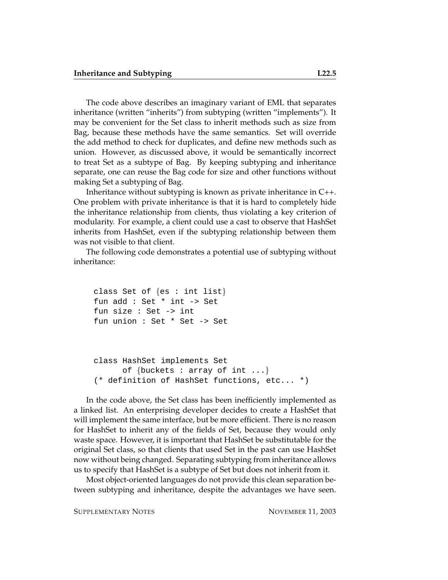The code above describes an imaginary variant of EML that separates inheritance (written "inherits") from subtyping (written "implements"). It may be convenient for the Set class to inherit methods such as size from Bag, because these methods have the same semantics. Set will override the add method to check for duplicates, and define new methods such as union. However, as discussed above, it would be semantically incorrect to treat Set as a subtype of Bag. By keeping subtyping and inheritance separate, one can reuse the Bag code for size and other functions without making Set a subtyping of Bag.

Inheritance without subtyping is known as private inheritance in C++. One problem with private inheritance is that it is hard to completely hide the inheritance relationship from clients, thus violating a key criterion of modularity. For example, a client could use a cast to observe that HashSet inherits from HashSet, even if the subtyping relationship between them was not visible to that client.

The following code demonstrates a potential use of subtyping without inheritance:

```
class Set of {es : int list}
fun add : Set * int -> Set
fun size : Set -> int
fun union : Set * Set -> Set
```

```
class HashSet implements Set
      of {buckets : array of int ...}
(* definition of HashSet functions, etc... *)
```
In the code above, the Set class has been inefficiently implemented as a linked list. An enterprising developer decides to create a HashSet that will implement the same interface, but be more efficient. There is no reason for HashSet to inherit any of the fields of Set, because they would only waste space. However, it is important that HashSet be substitutable for the original Set class, so that clients that used Set in the past can use HashSet now without being changed. Separating subtyping from inheritance allows us to specify that HashSet is a subtype of Set but does not inherit from it.

Most object-oriented languages do not provide this clean separation between subtyping and inheritance, despite the advantages we have seen.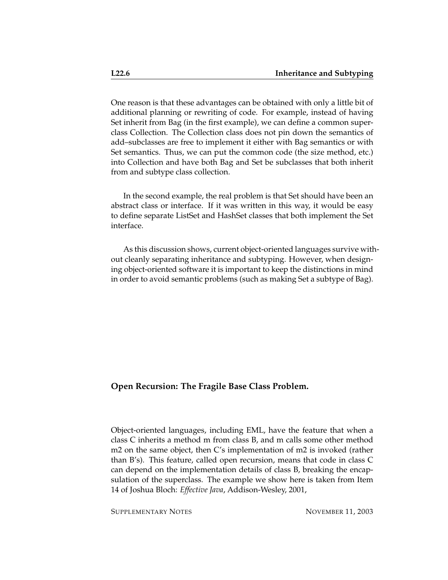One reason is that these advantages can be obtained with only a little bit of additional planning or rewriting of code. For example, instead of having Set inherit from Bag (in the first example), we can define a common superclass Collection. The Collection class does not pin down the semantics of add–subclasses are free to implement it either with Bag semantics or with Set semantics. Thus, we can put the common code (the size method, etc.) into Collection and have both Bag and Set be subclasses that both inherit from and subtype class collection.

In the second example, the real problem is that Set should have been an abstract class or interface. If it was written in this way, it would be easy to define separate ListSet and HashSet classes that both implement the Set interface.

As this discussion shows, current object-oriented languages survive without cleanly separating inheritance and subtyping. However, when designing object-oriented software it is important to keep the distinctions in mind in order to avoid semantic problems (such as making Set a subtype of Bag).

## **Open Recursion: The Fragile Base Class Problem.**

Object-oriented languages, including EML, have the feature that when a class C inherits a method m from class B, and m calls some other method m2 on the same object, then C's implementation of m2 is invoked (rather than B's). This feature, called open recursion, means that code in class C can depend on the implementation details of class B, breaking the encapsulation of the superclass. The example we show here is taken from Item 14 of Joshua Bloch: *Effective Java*, Addison-Wesley, 2001,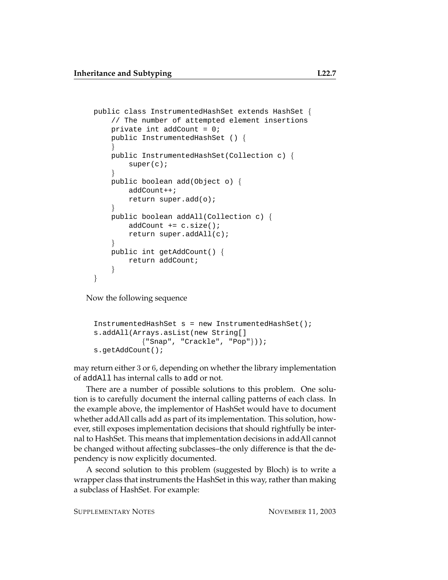```
public class InstrumentedHashSet extends HashSet {
    // The number of attempted element insertions
    private int addCount = 0;
    public InstrumentedHashSet () {
    }
    public InstrumentedHashSet(Collection c) {
        super(c);
    }
    public boolean add(Object o) {
        addCount++;
        return super.add(o);
    }
    public boolean addAll(Collection c) {
        addCount += c.size();
        return super.addAll(c);
    }
    public int getAddCount() {
        return addCount;
    }
}
```
Now the following sequence

```
InstrumentedHashSet s = new InstrumentedHashSet();
s.addAll(Arrays.asList(new String[]
           {"Snap", "Crackle", "Pop"}));
s.getAddCount();
```
may return either 3 or 6, depending on whether the library implementation of addAll has internal calls to add or not.

There are a number of possible solutions to this problem. One solution is to carefully document the internal calling patterns of each class. In the example above, the implementor of HashSet would have to document whether addAll calls add as part of its implementation. This solution, however, still exposes implementation decisions that should rightfully be internal to HashSet. This means that implementation decisions in addAll cannot be changed without affecting subclasses–the only difference is that the dependency is now explicitly documented.

A second solution to this problem (suggested by Bloch) is to write a wrapper class that instruments the HashSet in this way, rather than making a subclass of HashSet. For example: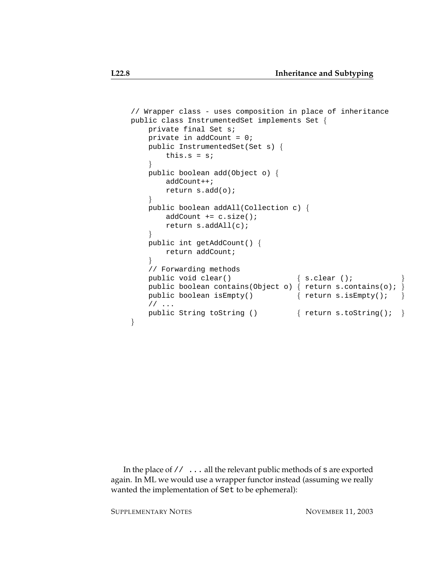```
// Wrapper class - uses composition in place of inheritance
public class InstrumentedSet implements Set {
   private final Set s;
   private in addCount = 0;
   public InstrumentedSet(Set s) {
       this.s = s;
    }
   public boolean add(Object o) {
       addCount++;
       return s.add(o);
    }
    public boolean addAll(Collection c) {
       addCount += c.size();
       return s.addAll(c);
    }
    public int getAddCount() {
       return addCount;
    }
    // Forwarding methods
    public void clear() \{ s. clear ();public boolean contains(Object o) { return s.contains(o);
   public boolean isEmpty() \{ return s.isEmpty(); \}// ...
   public String toString () \{ return s.toString(); \}}
```
In the place of // ... all the relevant public methods of s are exported again. In ML we would use a wrapper functor instead (assuming we really wanted the implementation of Set to be ephemeral):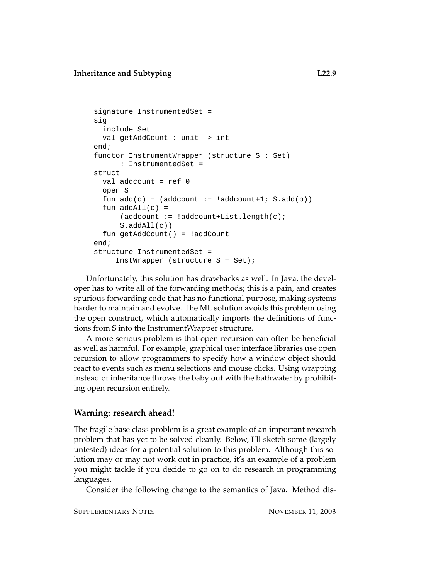```
signature InstrumentedSet =
sig
 include Set
 val getAddCount : unit -> int
end;
functor InstrumentWrapper (structure S : Set)
     : InstrumentedSet =
struct
 val addcount = ref 0
 open S
 fun add(o) = (addcount := !addcount+1; S.add(o))fun addAll(c) =(addcount := !addcount+List.length(c);
     S.addAll(c))
 fun getAddCount() = !addCount
end;
structure InstrumentedSet =
     InstWrapper (structure S = Set);
```
Unfortunately, this solution has drawbacks as well. In Java, the developer has to write all of the forwarding methods; this is a pain, and creates spurious forwarding code that has no functional purpose, making systems harder to maintain and evolve. The ML solution avoids this problem using the open construct, which automatically imports the definitions of functions from S into the InstrumentWrapper structure.

A more serious problem is that open recursion can often be beneficial as well as harmful. For example, graphical user interface libraries use open recursion to allow programmers to specify how a window object should react to events such as menu selections and mouse clicks. Using wrapping instead of inheritance throws the baby out with the bathwater by prohibiting open recursion entirely.

## **Warning: research ahead!**

The fragile base class problem is a great example of an important research problem that has yet to be solved cleanly. Below, I'll sketch some (largely untested) ideas for a potential solution to this problem. Although this solution may or may not work out in practice, it's an example of a problem you might tackle if you decide to go on to do research in programming languages.

Consider the following change to the semantics of Java. Method dis-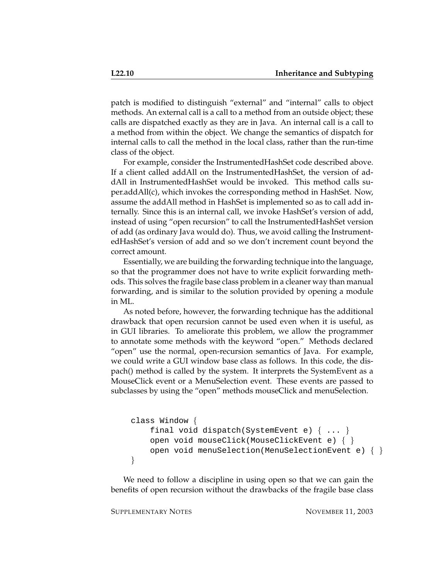patch is modified to distinguish "external" and "internal" calls to object methods. An external call is a call to a method from an outside object; these calls are dispatched exactly as they are in Java. An internal call is a call to a method from within the object. We change the semantics of dispatch for internal calls to call the method in the local class, rather than the run-time class of the object.

For example, consider the InstrumentedHashSet code described above. If a client called addAll on the InstrumentedHashSet, the version of addAll in InstrumentedHashSet would be invoked. This method calls super.addAll(c), which invokes the corresponding method in HashSet. Now, assume the addAll method in HashSet is implemented so as to call add internally. Since this is an internal call, we invoke HashSet's version of add, instead of using "open recursion" to call the InstrumentedHashSet version of add (as ordinary Java would do). Thus, we avoid calling the InstrumentedHashSet's version of add and so we don't increment count beyond the correct amount.

Essentially, we are building the forwarding technique into the language, so that the programmer does not have to write explicit forwarding methods. This solves the fragile base class problem in a cleaner way than manual forwarding, and is similar to the solution provided by opening a module in ML.

As noted before, however, the forwarding technique has the additional drawback that open recursion cannot be used even when it is useful, as in GUI libraries. To ameliorate this problem, we allow the programmer to annotate some methods with the keyword "open." Methods declared "open" use the normal, open-recursion semantics of Java. For example, we could write a GUI window base class as follows. In this code, the dispach() method is called by the system. It interprets the SystemEvent as a MouseClick event or a MenuSelection event. These events are passed to subclasses by using the "open" methods mouseClick and menuSelection.

```
class Window {
    final void dispatch(SystemEvent e) \{ \ldots \}open void mouseClick(MouseClickEvent e) { }
    open void menuSelection(MenuSelectionEvent e) { }
}
```
We need to follow a discipline in using open so that we can gain the benefits of open recursion without the drawbacks of the fragile base class